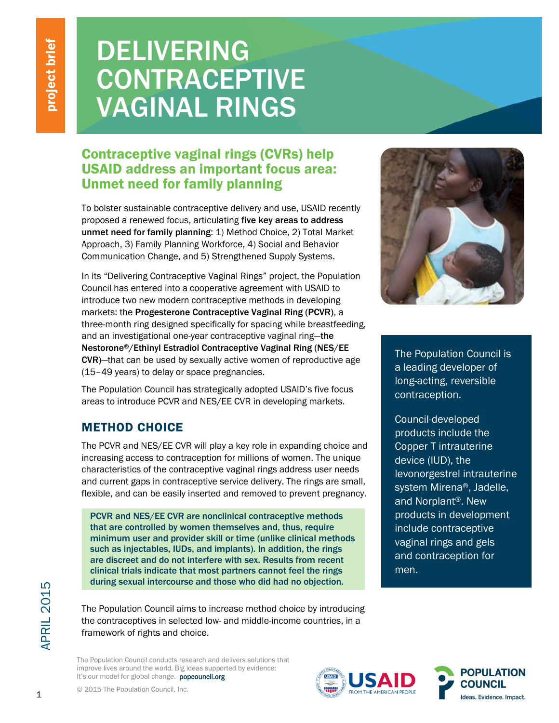# DELIVERING **CONTRACEPTIVE** VAGINAL RINGS

# Contraceptive vaginal rings (CVRs) help USAID address an important focus area: Unmet need for family planning

To bolster sustainable contraceptive delivery and use, USAID recently proposed a renewed focus, articulating five key areas to address unmet need for family planning: 1) Method Choice, 2) Total Market Approach, 3) Family Planning Workforce, 4) Social and Behavior Communication Change, and 5) Strengthened Supply Systems.

In its "Delivering Contraceptive Vaginal Rings" project, the Population Council has entered into a cooperative agreement with USAID to introduce two new modern contraceptive methods in developing markets: the Progesterone Contraceptive Vaginal Ring (PCVR), a three-month ring designed specifically for spacing while breastfeeding, and an investigational one-year contraceptive vaginal ring—the Nestorone®/Ethinyl Estradiol Contraceptive Vaginal Ring (NES/EE CVR)—that can be used by sexually active women of reproductive age (15–49 years) to delay or space pregnancies.

The Population Council has strategically adopted USAID's five focus areas to introduce PCVR and NES/EE CVR in developing markets.

# METHOD CHOICE

The PCVR and NES/EE CVR will play a key role in expanding choice and increasing access to contraception for millions of women. The unique characteristics of the contraceptive vaginal rings address user needs and current gaps in contraceptive service delivery. The rings are small, flexible, and can be easily inserted and removed to prevent pregnancy.

PCVR and NES/EE CVR are nonclinical contraceptive methods that are controlled by women themselves and, thus, require minimum user and provider skill or time (unlike clinical methods such as injectables, IUDs, and implants). In addition, the rings are discreet and do not interfere with sex. Results from recent clinical trials indicate that most partners cannot feel the rings during sexual intercourse and those who did had no objection.

The Population Council aims to increase method choice by introducing the contraceptives in selected low- and middle-income countries, in a framework of rights and choice.

The Population Council conducts research and delivers solutions that improve lives around the world. Big ideas supported by evidence: It's our model for global change. popcouncil.org



The Population Council is a leading developer of long-acting, reversible contraception.

Council-developed products include the Copper T intrauterine device (IUD), the levonorgestrel intrauterine system Mirena®, Jadelle, and Norplant®. New products in development include contraceptive vaginal rings and gels and contraception for men.





**APRIL 2015**